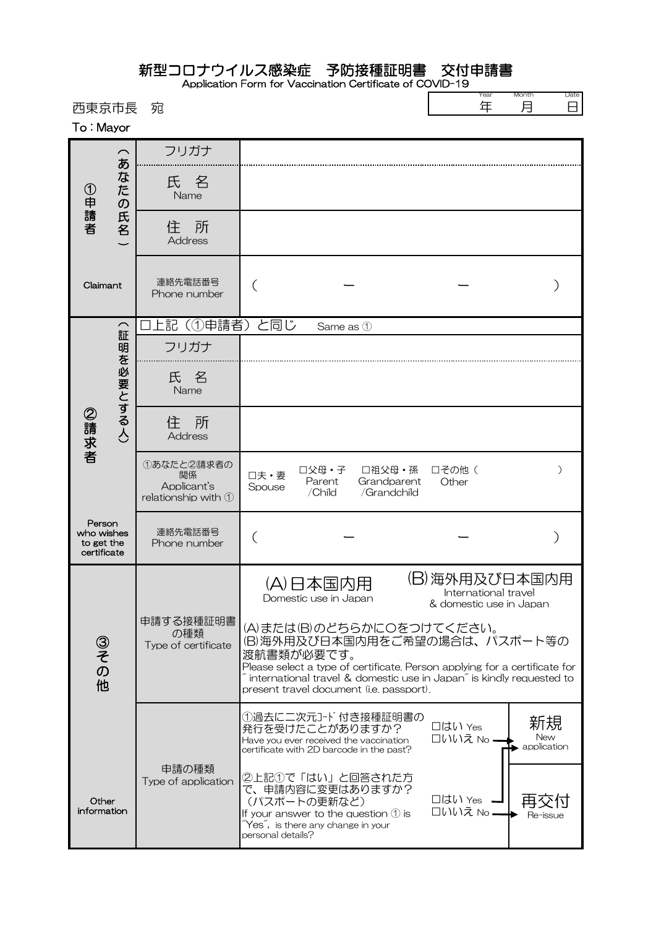## 新型コロナウイルス感染症 予防接種証明書 交付申請書

Application Form for Vaccination Certificate of COVID-19

| 西東京市長<br>To: Mayor                                |                                           | 宛                                                      |                                                                                                                                                                                                                                                                                               |                                                                                                                                                       |                                      | Year<br>年                                                        | Month<br>月                             | Date<br>8 |
|---------------------------------------------------|-------------------------------------------|--------------------------------------------------------|-----------------------------------------------------------------------------------------------------------------------------------------------------------------------------------------------------------------------------------------------------------------------------------------------|-------------------------------------------------------------------------------------------------------------------------------------------------------|--------------------------------------|------------------------------------------------------------------|----------------------------------------|-----------|
| ①申請者                                              | あ<br>ぶなた<br>$\sigma$<br>氏名                | フリガナ                                                   |                                                                                                                                                                                                                                                                                               |                                                                                                                                                       |                                      |                                                                  |                                        |           |
|                                                   |                                           | 氏 名<br>Name                                            |                                                                                                                                                                                                                                                                                               |                                                                                                                                                       |                                      |                                                                  |                                        |           |
|                                                   |                                           | 所<br>住<br>Address                                      |                                                                                                                                                                                                                                                                                               |                                                                                                                                                       |                                      |                                                                  |                                        |           |
| Claimant                                          |                                           | 連絡先電話番号<br>Phone number                                |                                                                                                                                                                                                                                                                                               |                                                                                                                                                       |                                      |                                                                  |                                        |           |
| ②請求者                                              | $\widehat{\phantom{1}}$<br>証<br>明を必要とする人) | (①申請者)<br>-記                                           | と同じ                                                                                                                                                                                                                                                                                           | Same as 1                                                                                                                                             |                                      |                                                                  |                                        |           |
|                                                   |                                           | フリガナ                                                   |                                                                                                                                                                                                                                                                                               |                                                                                                                                                       |                                      |                                                                  |                                        |           |
|                                                   |                                           | 氏名<br>Name                                             |                                                                                                                                                                                                                                                                                               |                                                                                                                                                       |                                      |                                                                  |                                        |           |
|                                                   |                                           | 所<br>住<br><b>Address</b>                               |                                                                                                                                                                                                                                                                                               |                                                                                                                                                       |                                      |                                                                  |                                        |           |
|                                                   |                                           | ①あなたと2請求者の<br>関係<br>Applicant's<br>relationship with 1 | 口夫·妻<br>Spouse                                                                                                                                                                                                                                                                                | 口父母・子<br>Parent<br>/Child                                                                                                                             | 口祖父母·孫<br>Grandparent<br>/Grandchild | □その他 (<br>Other                                                  |                                        | $\lambda$ |
| Person<br>who wishes<br>to get the<br>certificate |                                           | 連絡先電話番号<br>Phone number                                |                                                                                                                                                                                                                                                                                               |                                                                                                                                                       |                                      |                                                                  |                                        |           |
| ③その他<br>Other<br>information                      |                                           | 申請する接種証明書<br>の種類<br>Type of certificate                | $(\Delta)$ F                                                                                                                                                                                                                                                                                  | 4)日本国内用<br>Domestic use in Japan                                                                                                                      |                                      | (B)海外用及び日本国内用<br>International travel<br>& domestic use in Japan |                                        |           |
|                                                   |                                           |                                                        | (A)または(B)のどちらかにOをつけてください。<br>(B)海外用及び日本国内用をご希望の場合は、パスポート等の<br>渡航書類が必要です。<br>Please select a type of certificate. Person applying for a certificate for<br>$\degree$ international travel & domestic use in Japan $\degree$ is kindly requested to<br>present travel document (i.e. passport). |                                                                                                                                                       |                                      |                                                                  |                                        |           |
|                                                   |                                           | 申請の種類<br>Type of application                           |                                                                                                                                                                                                                                                                                               | 発行を受けたことがありますか?<br>Have you ever received the vaccination<br>certificate with 2D barcode in the past?                                                 | ①過去に二次元コード付き接種証明書の                   | 口はい Yes<br>□いいえ № —                                              | 新規<br>New<br>$\rightarrow$ application |           |
|                                                   |                                           |                                                        | personal details?                                                                                                                                                                                                                                                                             | ②上記①で「はい」と回答された方<br>で、申請内容に変更はありますか?<br>(パスポートの更新など)<br>If your answer to the question $\mathbb O$ is<br>$\mathrm{Yes}$ , is there any change in your |                                      | □はい Yes<br>□いいえ No.                                              | Re-issue                               |           |